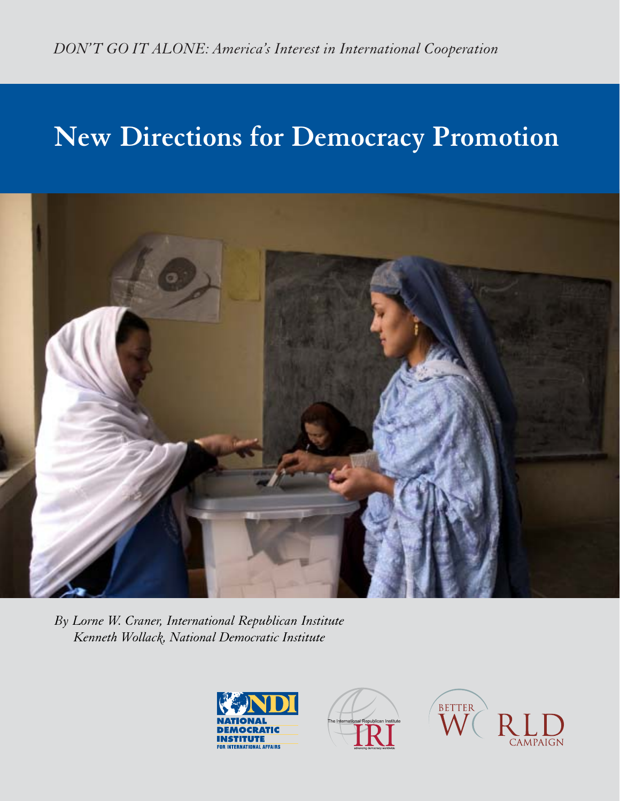# **New Directions for Democracy Promotion**



*By Lorne W. Craner, International Republican Institute Kenneth Wollack, National Democratic Institute*





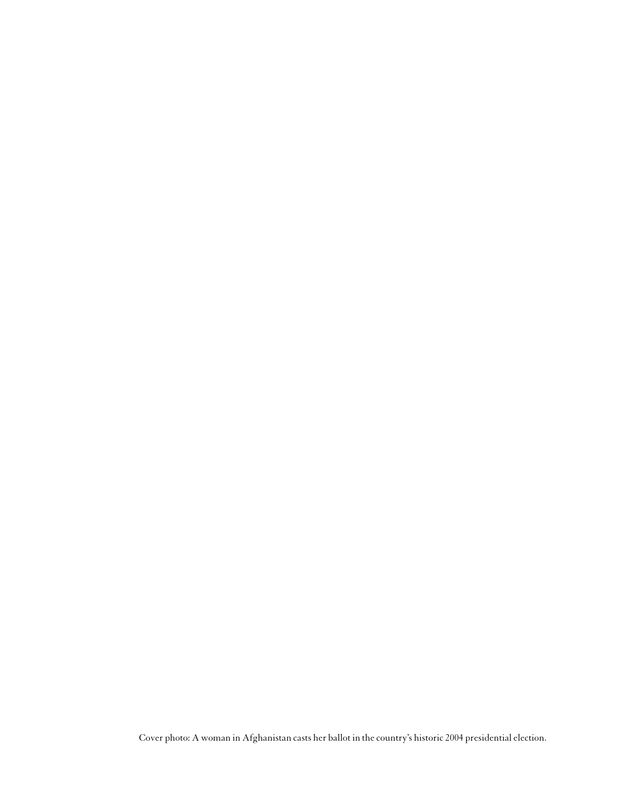Cover photo: A woman in Afghanistan casts her ballot in the country's historic 2004 presidential election.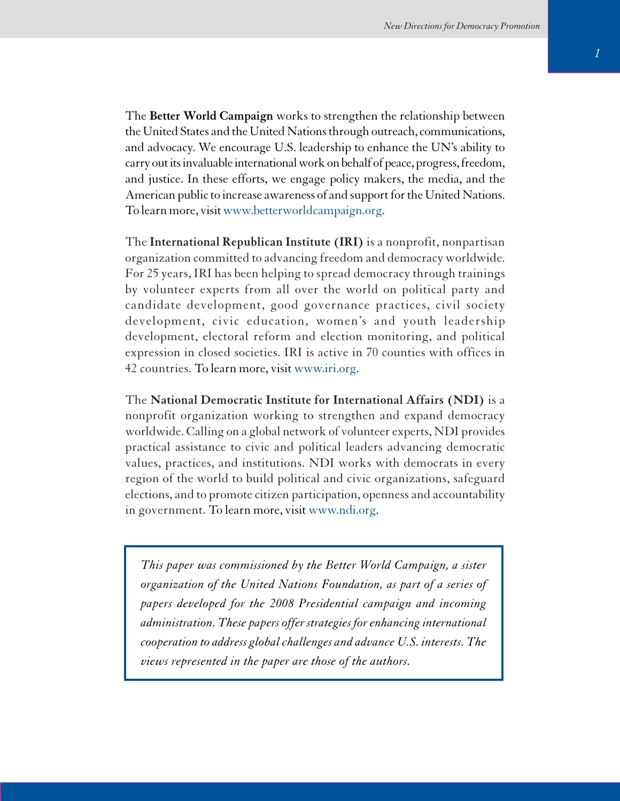The **Better World Campaign** works to strengthen the relationship between the United States and the United Nations through outreach, communications, and advocacy. We encourage U.S. leadership to enhance the UN's ability to carry out its invaluable international work on behalf of peace, progress, freedom, and justice. In these efforts, we engage policy makers, the media, and the American public to increase awareness of and support for the United Nations. To learn more, visit www.betterworldcampaign.org.

The **International Republican Institute (IRI)** is a nonprofit, nonpartisan organization committed to advancing freedom and democracy worldwide. For 25 years, IRI has been helping to spread democracy through trainings by volunteer experts from all over the world on political party and candidate development, good governance practices, civil society development, civic education, women's and youth leadership development, electoral reform and election monitoring, and political expression in closed societies. IRI is active in 70 counties with offices in 42 countries. To learn more, visit www.iri.org.

The **National Democratic Institute for International Affairs (NDI)** is a nonprofit organization working to strengthen and expand democracy worldwide. Calling on a global network of volunteer experts, NDI provides practical assistance to civic and political leaders advancing democratic values, practices, and institutions. NDI works with democrats in every region of the world to build political and civic organizations, safeguard elections, and to promote citizen participation, openness and accountability in government. To learn more, visit www.ndi.org.

*This paper was commissioned by the Better World Campaign, a sister organization of the United Nations Foundation, as part of a series of papers developed for the 2008 Presidential campaign and incoming administration. These papers offer strategies for enhancing international cooperation to address global challenges and advance U.S. interests. The views represented in the paper are those of the authors.*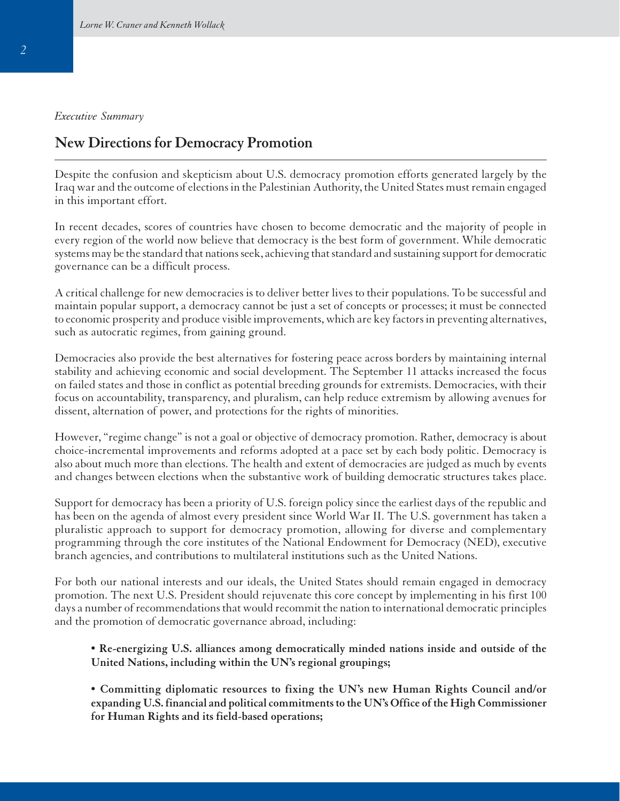#### *Executive Summary*

#### **New Directions for Democracy Promotion**

Despite the confusion and skepticism about U.S. democracy promotion efforts generated largely by the Iraq war and the outcome of elections in the Palestinian Authority, the United States must remain engaged in this important effort.

In recent decades, scores of countries have chosen to become democratic and the majority of people in every region of the world now believe that democracy is the best form of government. While democratic systems may be the standard that nations seek, achieving that standard and sustaining support for democratic governance can be a difficult process.

A critical challenge for new democracies is to deliver better lives to their populations. To be successful and maintain popular support, a democracy cannot be just a set of concepts or processes; it must be connected to economic prosperity and produce visible improvements, which are key factors in preventing alternatives, such as autocratic regimes, from gaining ground.

Democracies also provide the best alternatives for fostering peace across borders by maintaining internal stability and achieving economic and social development. The September 11 attacks increased the focus on failed states and those in conflict as potential breeding grounds for extremists. Democracies, with their focus on accountability, transparency, and pluralism, can help reduce extremism by allowing avenues for dissent, alternation of power, and protections for the rights of minorities.

However, "regime change" is not a goal or objective of democracy promotion. Rather, democracy is about choice-incremental improvements and reforms adopted at a pace set by each body politic. Democracy is also about much more than elections. The health and extent of democracies are judged as much by events and changes between elections when the substantive work of building democratic structures takes place.

Support for democracy has been a priority of U.S. foreign policy since the earliest days of the republic and has been on the agenda of almost every president since World War II. The U.S. government has taken a pluralistic approach to support for democracy promotion, allowing for diverse and complementary programming through the core institutes of the National Endowment for Democracy (NED), executive branch agencies, and contributions to multilateral institutions such as the United Nations.

For both our national interests and our ideals, the United States should remain engaged in democracy promotion. The next U.S. President should rejuvenate this core concept by implementing in his first 100 days a number of recommendations that would recommit the nation to international democratic principles and the promotion of democratic governance abroad, including:

- **Re-energizing U.S. alliances among democratically minded nations inside and outside of the United Nations, including within the UN's regional groupings;**
- **Committing diplomatic resources to fixing the UN's new Human Rights Council and/or expanding U.S. financial and political commitments to the UN's Office of the High Commissioner for Human Rights and its field-based operations;**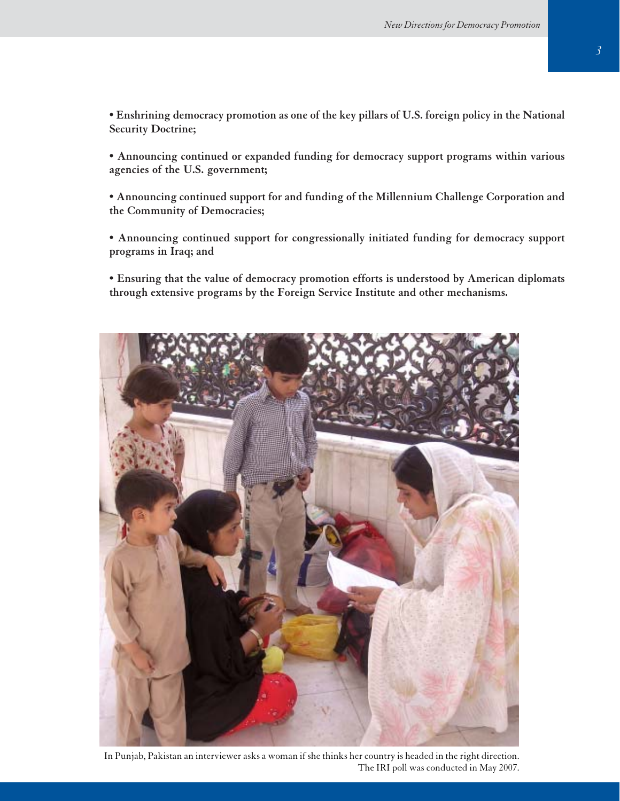**• Enshrining democracy promotion as one of the key pillars of U.S. foreign policy in the National Security Doctrine;**

**• Announcing continued or expanded funding for democracy support programs within various agencies of the U.S. government;**

**• Announcing continued support for and funding of the Millennium Challenge Corporation and the Community of Democracies;**

**• Announcing continued support for congressionally initiated funding for democracy support programs in Iraq; and**

**• Ensuring that the value of democracy promotion efforts is understood by American diplomats through extensive programs by the Foreign Service Institute and other mechanisms.**



In Punjab, Pakistan an interviewer asks a woman if she thinks her country is headed in the right direction. The IRI poll was conducted in May 2007.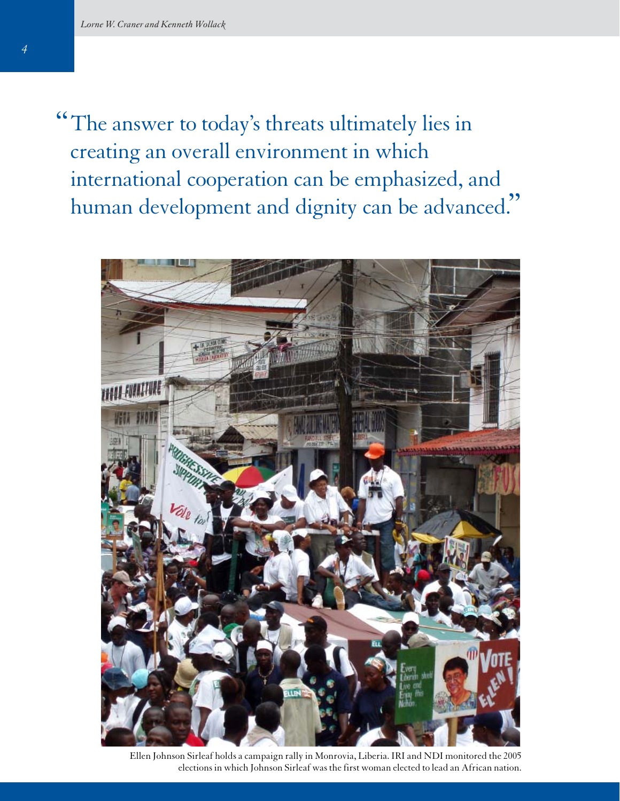The answer to today's threats ultimately lies in " creating an overall environment in which international cooperation can be emphasized, and human development and dignity can be advanced."



Ellen Johnson Sirleaf holds a campaign rally in Monrovia, Liberia. IRI and NDI monitored the 2005 elections in which Johnson Sirleaf was the first woman elected to lead an African nation.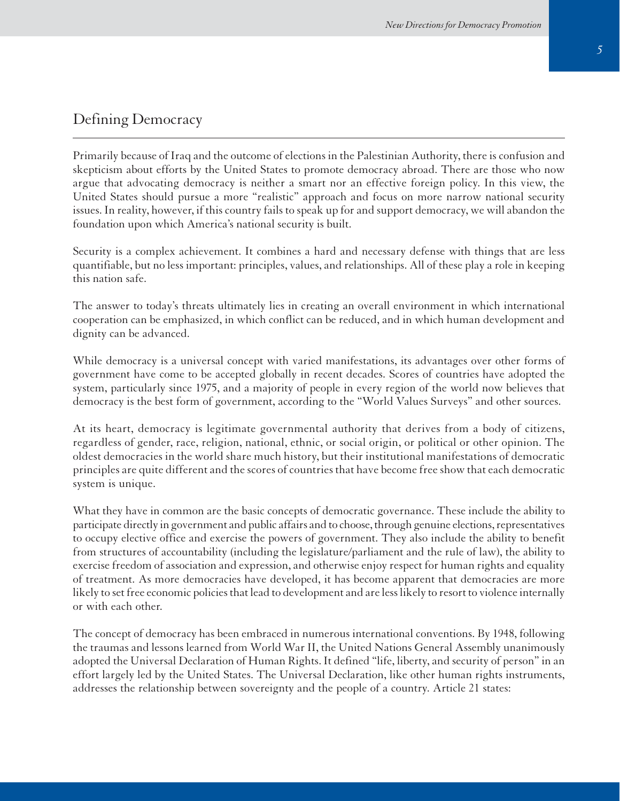## Defining Democracy

Primarily because of Iraq and the outcome of elections in the Palestinian Authority, there is confusion and skepticism about efforts by the United States to promote democracy abroad. There are those who now argue that advocating democracy is neither a smart nor an effective foreign policy. In this view, the United States should pursue a more "realistic" approach and focus on more narrow national security issues. In reality, however, if this country fails to speak up for and support democracy, we will abandon the foundation upon which America's national security is built.

Security is a complex achievement. It combines a hard and necessary defense with things that are less quantifiable, but no less important: principles, values, and relationships. All of these play a role in keeping this nation safe.

The answer to today's threats ultimately lies in creating an overall environment in which international cooperation can be emphasized, in which conflict can be reduced, and in which human development and dignity can be advanced.

While democracy is a universal concept with varied manifestations, its advantages over other forms of government have come to be accepted globally in recent decades. Scores of countries have adopted the system, particularly since 1975, and a majority of people in every region of the world now believes that democracy is the best form of government, according to the "World Values Surveys" and other sources.

At its heart, democracy is legitimate governmental authority that derives from a body of citizens, regardless of gender, race, religion, national, ethnic, or social origin, or political or other opinion. The oldest democracies in the world share much history, but their institutional manifestations of democratic principles are quite different and the scores of countries that have become free show that each democratic system is unique.

What they have in common are the basic concepts of democratic governance. These include the ability to participate directly in government and public affairs and to choose, through genuine elections, representatives to occupy elective office and exercise the powers of government. They also include the ability to benefit from structures of accountability (including the legislature/parliament and the rule of law), the ability to exercise freedom of association and expression, and otherwise enjoy respect for human rights and equality of treatment. As more democracies have developed, it has become apparent that democracies are more likely to set free economic policies that lead to development and are less likely to resort to violence internally or with each other.

The concept of democracy has been embraced in numerous international conventions. By 1948, following the traumas and lessons learned from World War II, the United Nations General Assembly unanimously adopted the Universal Declaration of Human Rights. It defined "life, liberty, and security of person" in an effort largely led by the United States. The Universal Declaration, like other human rights instruments, addresses the relationship between sovereignty and the people of a country. Article 21 states: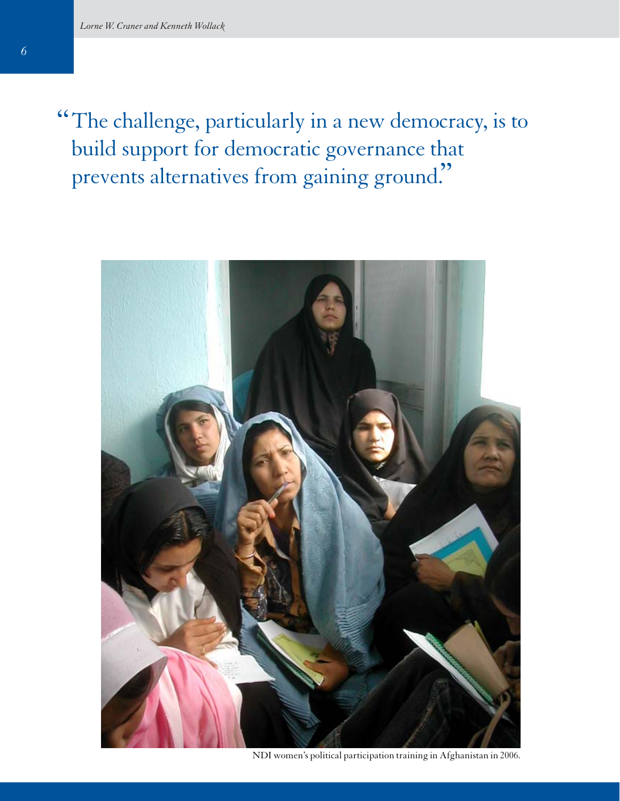The challenge, particularly in a new democracy, is to " build support for democratic governance that prevents alternatives from gaining ground."



NDI women's political participation training in Afghanistan in 2006.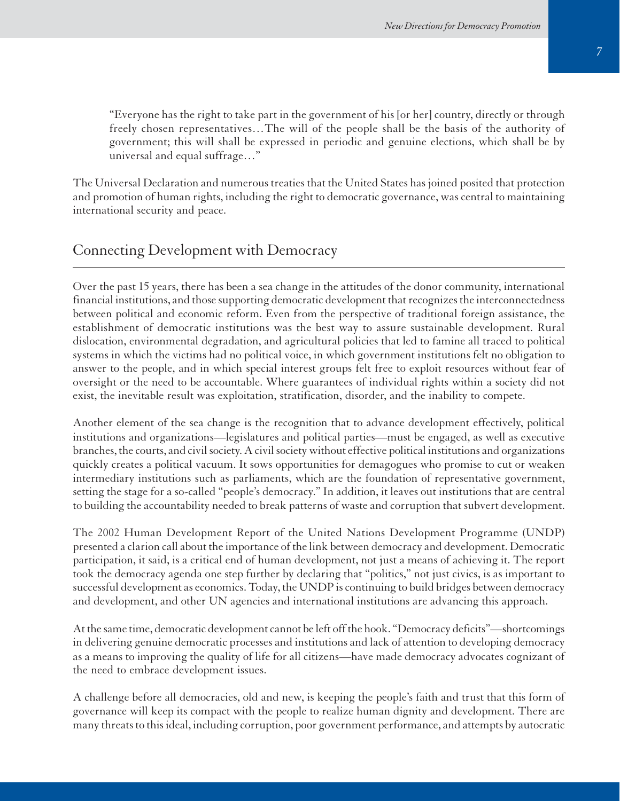"Everyone has the right to take part in the government of his [or her] country, directly or through freely chosen representatives…The will of the people shall be the basis of the authority of government; this will shall be expressed in periodic and genuine elections, which shall be by universal and equal suffrage…"

The Universal Declaration and numerous treaties that the United States has joined posited that protection and promotion of human rights, including the right to democratic governance, was central to maintaining international security and peace.

## Connecting Development with Democracy

Over the past 15 years, there has been a sea change in the attitudes of the donor community, international financial institutions, and those supporting democratic development that recognizes the interconnectedness between political and economic reform. Even from the perspective of traditional foreign assistance, the establishment of democratic institutions was the best way to assure sustainable development. Rural dislocation, environmental degradation, and agricultural policies that led to famine all traced to political systems in which the victims had no political voice, in which government institutions felt no obligation to answer to the people, and in which special interest groups felt free to exploit resources without fear of oversight or the need to be accountable. Where guarantees of individual rights within a society did not exist, the inevitable result was exploitation, stratification, disorder, and the inability to compete.

Another element of the sea change is the recognition that to advance development effectively, political institutions and organizations—legislatures and political parties—must be engaged, as well as executive branches, the courts, and civil society. A civil society without effective political institutions and organizations quickly creates a political vacuum. It sows opportunities for demagogues who promise to cut or weaken intermediary institutions such as parliaments, which are the foundation of representative government, setting the stage for a so-called "people's democracy." In addition, it leaves out institutions that are central to building the accountability needed to break patterns of waste and corruption that subvert development.

The 2002 Human Development Report of the United Nations Development Programme (UNDP) presented a clarion call about the importance of the link between democracy and development. Democratic participation, it said, is a critical end of human development, not just a means of achieving it. The report took the democracy agenda one step further by declaring that "politics," not just civics, is as important to successful development as economics. Today, the UNDP is continuing to build bridges between democracy and development, and other UN agencies and international institutions are advancing this approach.

At the same time, democratic development cannot be left off the hook. "Democracy deficits"—shortcomings in delivering genuine democratic processes and institutions and lack of attention to developing democracy as a means to improving the quality of life for all citizens—have made democracy advocates cognizant of the need to embrace development issues.

A challenge before all democracies, old and new, is keeping the people's faith and trust that this form of governance will keep its compact with the people to realize human dignity and development. There are many threats to this ideal, including corruption, poor government performance, and attempts by autocratic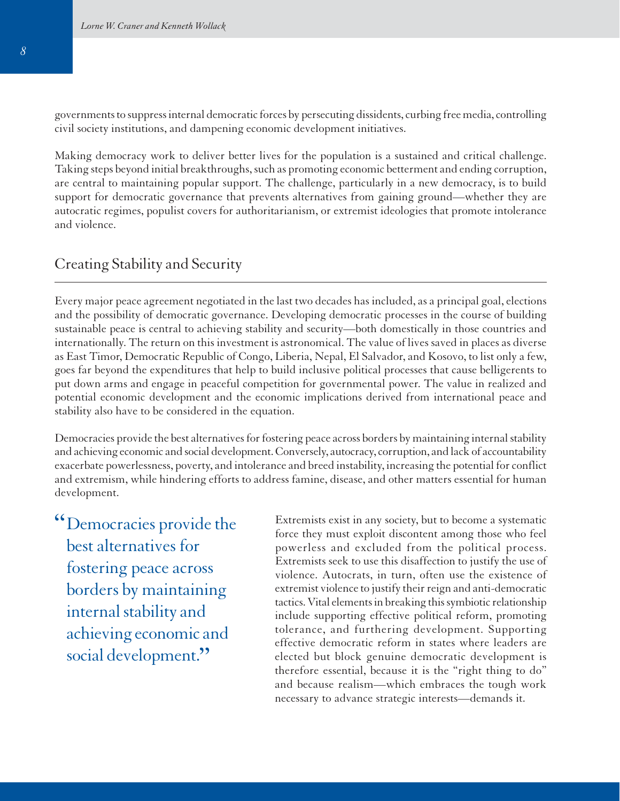governments to suppress internal democratic forces by persecuting dissidents, curbing free media, controlling civil society institutions, and dampening economic development initiatives.

Making democracy work to deliver better lives for the population is a sustained and critical challenge. Taking steps beyond initial breakthroughs, such as promoting economic betterment and ending corruption, are central to maintaining popular support. The challenge, particularly in a new democracy, is to build support for democratic governance that prevents alternatives from gaining ground—whether they are autocratic regimes, populist covers for authoritarianism, or extremist ideologies that promote intolerance and violence.

#### Creating Stability and Security

Every major peace agreement negotiated in the last two decades has included, as a principal goal, elections and the possibility of democratic governance. Developing democratic processes in the course of building sustainable peace is central to achieving stability and security—both domestically in those countries and internationally. The return on this investment is astronomical. The value of lives saved in places as diverse as East Timor, Democratic Republic of Congo, Liberia, Nepal, El Salvador, and Kosovo, to list only a few, goes far beyond the expenditures that help to build inclusive political processes that cause belligerents to put down arms and engage in peaceful competition for governmental power. The value in realized and potential economic development and the economic implications derived from international peace and stability also have to be considered in the equation.

Democracies provide the best alternatives for fostering peace across borders by maintaining internal stability and achieving economic and social development. Conversely, autocracy, corruption, and lack of accountability exacerbate powerlessness, poverty, and intolerance and breed instability, increasing the potential for conflict and extremism, while hindering efforts to address famine, disease, and other matters essential for human development.

"Democracies provide the best alternatives for fostering peace across borders by maintaining internal stability and achieving economic and social development."

Extremists exist in any society, but to become a systematic force they must exploit discontent among those who feel powerless and excluded from the political process. Extremists seek to use this disaffection to justify the use of violence. Autocrats, in turn, often use the existence of extremist violence to justify their reign and anti-democratic tactics. Vital elements in breaking this symbiotic relationship include supporting effective political reform, promoting tolerance, and furthering development. Supporting effective democratic reform in states where leaders are elected but block genuine democratic development is therefore essential, because it is the "right thing to do" and because realism—which embraces the tough work necessary to advance strategic interests—demands it.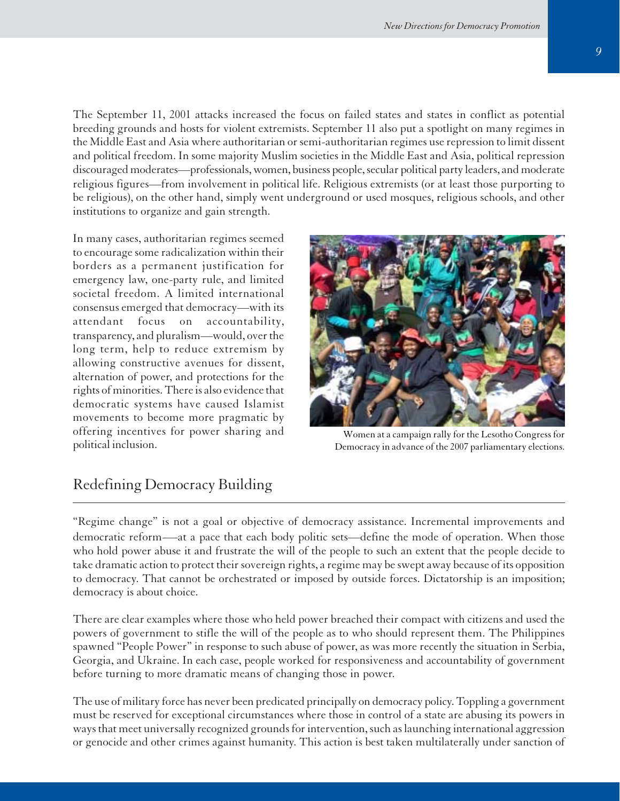The September 11, 2001 attacks increased the focus on failed states and states in conflict as potential breeding grounds and hosts for violent extremists. September 11 also put a spotlight on many regimes in the Middle East and Asia where authoritarian or semi-authoritarian regimes use repression to limit dissent and political freedom. In some majority Muslim societies in the Middle East and Asia, political repression discouraged moderates—professionals, women, business people, secular political party leaders, and moderate religious figures—from involvement in political life. Religious extremists (or at least those purporting to be religious), on the other hand, simply went underground or used mosques, religious schools, and other institutions to organize and gain strength.

In many cases, authoritarian regimes seemed to encourage some radicalization within their borders as a permanent justification for emergency law, one-party rule, and limited societal freedom. A limited international consensus emerged that democracy—with its attendant focus on accountability, transparency, and pluralism—would, over the long term, help to reduce extremism by allowing constructive avenues for dissent, alternation of power, and protections for the rights of minorities. There is also evidence that democratic systems have caused Islamist movements to become more pragmatic by offering incentives for power sharing and political inclusion.



Women at a campaign rally for the Lesotho Congress for Democracy in advance of the 2007 parliamentary elections.

## Redefining Democracy Building

"Regime change" is not a goal or objective of democracy assistance. Incremental improvements and democratic reform-—at a pace that each body politic sets—define the mode of operation. When those who hold power abuse it and frustrate the will of the people to such an extent that the people decide to take dramatic action to protect their sovereign rights, a regime may be swept away because of its opposition to democracy. That cannot be orchestrated or imposed by outside forces. Dictatorship is an imposition; democracy is about choice.

There are clear examples where those who held power breached their compact with citizens and used the powers of government to stifle the will of the people as to who should represent them. The Philippines spawned "People Power" in response to such abuse of power, as was more recently the situation in Serbia, Georgia, and Ukraine. In each case, people worked for responsiveness and accountability of government before turning to more dramatic means of changing those in power.

The use of military force has never been predicated principally on democracy policy. Toppling a government must be reserved for exceptional circumstances where those in control of a state are abusing its powers in ways that meet universally recognized grounds for intervention, such as launching international aggression or genocide and other crimes against humanity. This action is best taken multilaterally under sanction of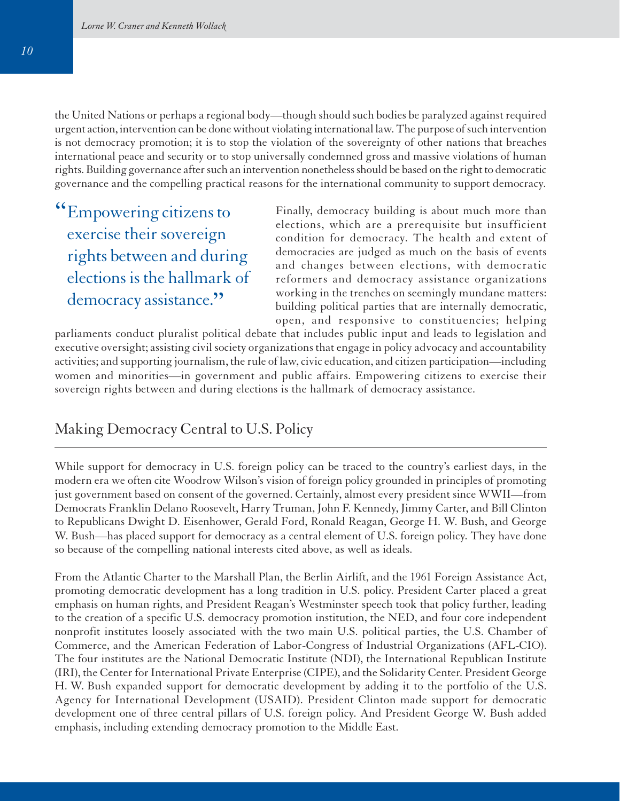the United Nations or perhaps a regional body—though should such bodies be paralyzed against required urgent action, intervention can be done without violating international law. The purpose of such intervention is not democracy promotion; it is to stop the violation of the sovereignty of other nations that breaches international peace and security or to stop universally condemned gross and massive violations of human rights. Building governance after such an intervention nonetheless should be based on the right to democratic governance and the compelling practical reasons for the international community to support democracy.

Empowering citizens to "exercise their sovereign rights between and during elections is the hallmark of democracy assistance."

Finally, democracy building is about much more than elections, which are a prerequisite but insufficient condition for democracy. The health and extent of democracies are judged as much on the basis of events and changes between elections, with democratic reformers and democracy assistance organizations working in the trenches on seemingly mundane matters: building political parties that are internally democratic, open, and responsive to constituencies; helping

parliaments conduct pluralist political debate that includes public input and leads to legislation and executive oversight; assisting civil society organizations that engage in policy advocacy and accountability activities; and supporting journalism, the rule of law, civic education, and citizen participation—including women and minorities—in government and public affairs. Empowering citizens to exercise their sovereign rights between and during elections is the hallmark of democracy assistance.

## Making Democracy Central to U.S. Policy

While support for democracy in U.S. foreign policy can be traced to the country's earliest days, in the modern era we often cite Woodrow Wilson's vision of foreign policy grounded in principles of promoting just government based on consent of the governed. Certainly, almost every president since WWII—from Democrats Franklin Delano Roosevelt, Harry Truman, John F. Kennedy, Jimmy Carter, and Bill Clinton to Republicans Dwight D. Eisenhower, Gerald Ford, Ronald Reagan, George H. W. Bush, and George W. Bush—has placed support for democracy as a central element of U.S. foreign policy. They have done so because of the compelling national interests cited above, as well as ideals.

From the Atlantic Charter to the Marshall Plan, the Berlin Airlift, and the 1961 Foreign Assistance Act, promoting democratic development has a long tradition in U.S. policy. President Carter placed a great emphasis on human rights, and President Reagan's Westminster speech took that policy further, leading to the creation of a specific U.S. democracy promotion institution, the NED, and four core independent nonprofit institutes loosely associated with the two main U.S. political parties, the U.S. Chamber of Commerce, and the American Federation of Labor-Congress of Industrial Organizations (AFL-CIO). The four institutes are the National Democratic Institute (NDI), the International Republican Institute (IRI), the Center for International Private Enterprise (CIPE), and the Solidarity Center. President George H. W. Bush expanded support for democratic development by adding it to the portfolio of the U.S. Agency for International Development (USAID). President Clinton made support for democratic development one of three central pillars of U.S. foreign policy. And President George W. Bush added emphasis, including extending democracy promotion to the Middle East.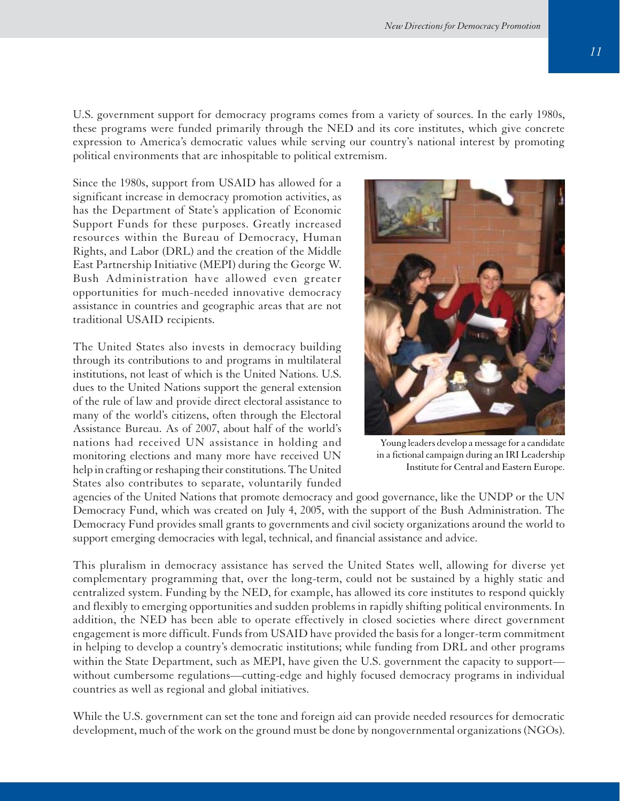U.S. government support for democracy programs comes from a variety of sources. In the early 1980s, these programs were funded primarily through the NED and its core institutes, which give concrete expression to America's democratic values while serving our country's national interest by promoting political environments that are inhospitable to political extremism.

Since the 1980s, support from USAID has allowed for a significant increase in democracy promotion activities, as has the Department of State's application of Economic Support Funds for these purposes. Greatly increased resources within the Bureau of Democracy, Human Rights, and Labor (DRL) and the creation of the Middle East Partnership Initiative (MEPI) during the George W. Bush Administration have allowed even greater opportunities for much-needed innovative democracy assistance in countries and geographic areas that are not traditional USAID recipients.

The United States also invests in democracy building through its contributions to and programs in multilateral institutions, not least of which is the United Nations. U.S. dues to the United Nations support the general extension of the rule of law and provide direct electoral assistance to many of the world's citizens, often through the Electoral Assistance Bureau. As of 2007, about half of the world's nations had received UN assistance in holding and monitoring elections and many more have received UN help in crafting or reshaping their constitutions. The United States also contributes to separate, voluntarily funded



Young leaders develop a message for a candidate in a fictional campaign during an IRI Leadership Institute for Central and Eastern Europe.

agencies of the United Nations that promote democracy and good governance, like the UNDP or the UN Democracy Fund, which was created on July 4, 2005, with the support of the Bush Administration. The Democracy Fund provides small grants to governments and civil society organizations around the world to support emerging democracies with legal, technical, and financial assistance and advice.

This pluralism in democracy assistance has served the United States well, allowing for diverse yet complementary programming that, over the long-term, could not be sustained by a highly static and centralized system. Funding by the NED, for example, has allowed its core institutes to respond quickly and flexibly to emerging opportunities and sudden problems in rapidly shifting political environments. In addition, the NED has been able to operate effectively in closed societies where direct government engagement is more difficult. Funds from USAID have provided the basis for a longer-term commitment in helping to develop a country's democratic institutions; while funding from DRL and other programs within the State Department, such as MEPI, have given the U.S. government the capacity to support without cumbersome regulations—cutting-edge and highly focused democracy programs in individual countries as well as regional and global initiatives.

While the U.S. government can set the tone and foreign aid can provide needed resources for democratic development, much of the work on the ground must be done by nongovernmental organizations (NGOs).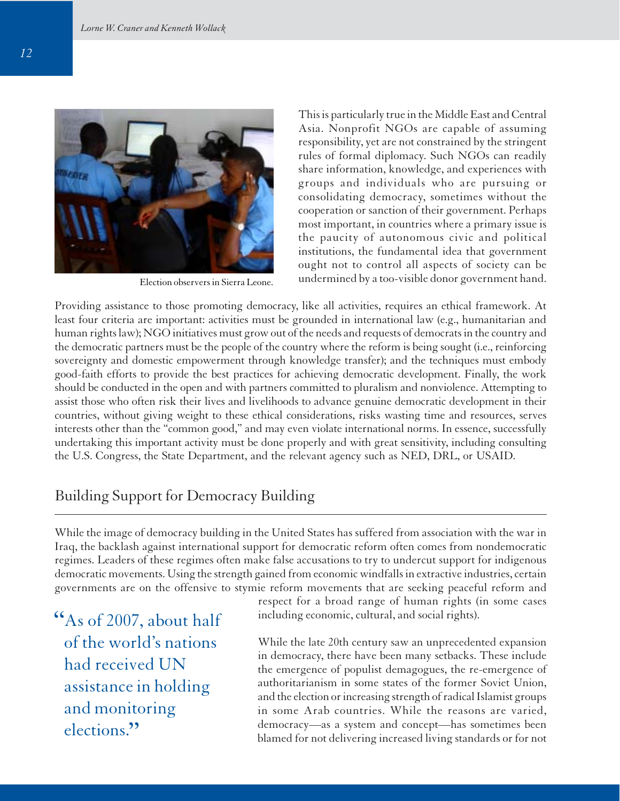

Election observers in Sierra Leone.

This is particularly true in the Middle East and Central Asia. Nonprofit NGOs are capable of assuming responsibility, yet are not constrained by the stringent rules of formal diplomacy. Such NGOs can readily share information, knowledge, and experiences with groups and individuals who are pursuing or consolidating democracy, sometimes without the cooperation or sanction of their government. Perhaps most important, in countries where a primary issue is the paucity of autonomous civic and political institutions, the fundamental idea that government ought not to control all aspects of society can be undermined by a too-visible donor government hand.

Providing assistance to those promoting democracy, like all activities, requires an ethical framework. At least four criteria are important: activities must be grounded in international law (e.g., humanitarian and human rights law); NGO initiatives must grow out of the needs and requests of democrats in the country and the democratic partners must be the people of the country where the reform is being sought (i.e., reinforcing sovereignty and domestic empowerment through knowledge transfer); and the techniques must embody good-faith efforts to provide the best practices for achieving democratic development. Finally, the work should be conducted in the open and with partners committed to pluralism and nonviolence. Attempting to assist those who often risk their lives and livelihoods to advance genuine democratic development in their countries, without giving weight to these ethical considerations, risks wasting time and resources, serves interests other than the "common good," and may even violate international norms. In essence, successfully undertaking this important activity must be done properly and with great sensitivity, including consulting the U.S. Congress, the State Department, and the relevant agency such as NED, DRL, or USAID.

## Building Support for Democracy Building

While the image of democracy building in the United States has suffered from association with the war in Iraq, the backlash against international support for democratic reform often comes from nondemocratic regimes. Leaders of these regimes often make false accusations to try to undercut support for indigenous democratic movements. Using the strength gained from economic windfalls in extractive industries, certain governments are on the offensive to stymie reform movements that are seeking peaceful reform and

 $\frac{4}{5}$ As of 2007, about half of the world's nations had received UN assistance in holding and monitoring elections."

respect for a broad range of human rights (in some cases including economic, cultural, and social rights).

While the late 20th century saw an unprecedented expansion in democracy, there have been many setbacks. These include the emergence of populist demagogues, the re-emergence of authoritarianism in some states of the former Soviet Union, and the election or increasing strength of radical Islamist groups in some Arab countries. While the reasons are varied, democracy—as a system and concept—has sometimes been blamed for not delivering increased living standards or for not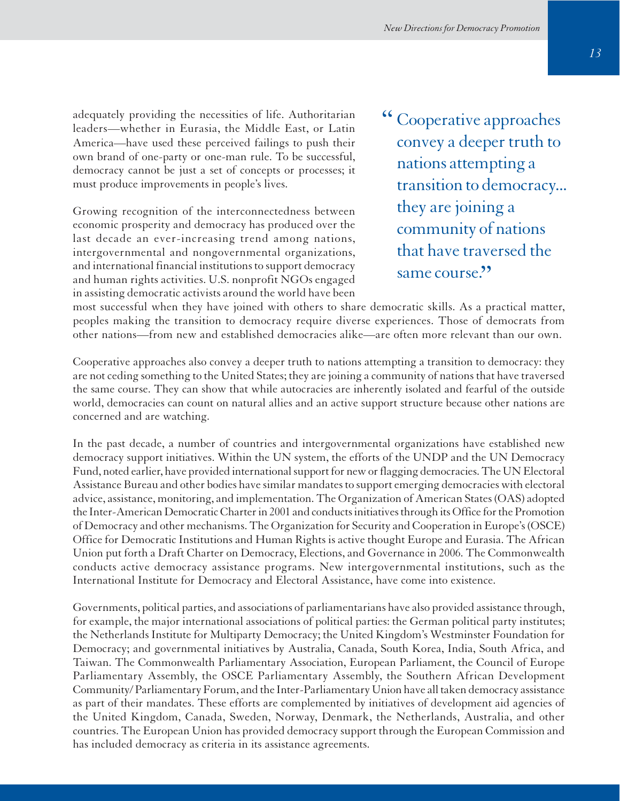adequately providing the necessities of life. Authoritarian leaders—whether in Eurasia, the Middle East, or Latin America—have used these perceived failings to push their own brand of one-party or one-man rule. To be successful, democracy cannot be just a set of concepts or processes; it must produce improvements in people's lives.

Growing recognition of the interconnectedness between economic prosperity and democracy has produced over the last decade an ever-increasing trend among nations, intergovernmental and nongovernmental organizations, and international financial institutions to support democracy and human rights activities. U.S. nonprofit NGOs engaged in assisting democratic activists around the world have been "Cooperative approaches convey a deeper truth to nations attempting a transition to democracy... they are joining a community of nations that have traversed the same course."

most successful when they have joined with others to share democratic skills. As a practical matter, peoples making the transition to democracy require diverse experiences. Those of democrats from other nations—from new and established democracies alike—are often more relevant than our own.

Cooperative approaches also convey a deeper truth to nations attempting a transition to democracy: they are not ceding something to the United States; they are joining a community of nations that have traversed the same course. They can show that while autocracies are inherently isolated and fearful of the outside world, democracies can count on natural allies and an active support structure because other nations are concerned and are watching.

In the past decade, a number of countries and intergovernmental organizations have established new democracy support initiatives. Within the UN system, the efforts of the UNDP and the UN Democracy Fund, noted earlier, have provided international support for new or flagging democracies. The UN Electoral Assistance Bureau and other bodies have similar mandates to support emerging democracies with electoral advice, assistance, monitoring, and implementation. The Organization of American States (OAS) adopted the Inter-American Democratic Charter in 2001 and conducts initiatives through its Office for the Promotion of Democracy and other mechanisms. The Organization for Security and Cooperation in Europe's (OSCE) Office for Democratic Institutions and Human Rights is active thought Europe and Eurasia. The African Union put forth a Draft Charter on Democracy, Elections, and Governance in 2006. The Commonwealth conducts active democracy assistance programs. New intergovernmental institutions, such as the International Institute for Democracy and Electoral Assistance, have come into existence.

Governments, political parties, and associations of parliamentarians have also provided assistance through, for example, the major international associations of political parties: the German political party institutes; the Netherlands Institute for Multiparty Democracy; the United Kingdom's Westminster Foundation for Democracy; and governmental initiatives by Australia, Canada, South Korea, India, South Africa, and Taiwan. The Commonwealth Parliamentary Association, European Parliament, the Council of Europe Parliamentary Assembly, the OSCE Parliamentary Assembly, the Southern African Development Community/ Parliamentary Forum, and the Inter-Parliamentary Union have all taken democracy assistance as part of their mandates. These efforts are complemented by initiatives of development aid agencies of the United Kingdom, Canada, Sweden, Norway, Denmark, the Netherlands, Australia, and other countries. The European Union has provided democracy support through the European Commission and has included democracy as criteria in its assistance agreements.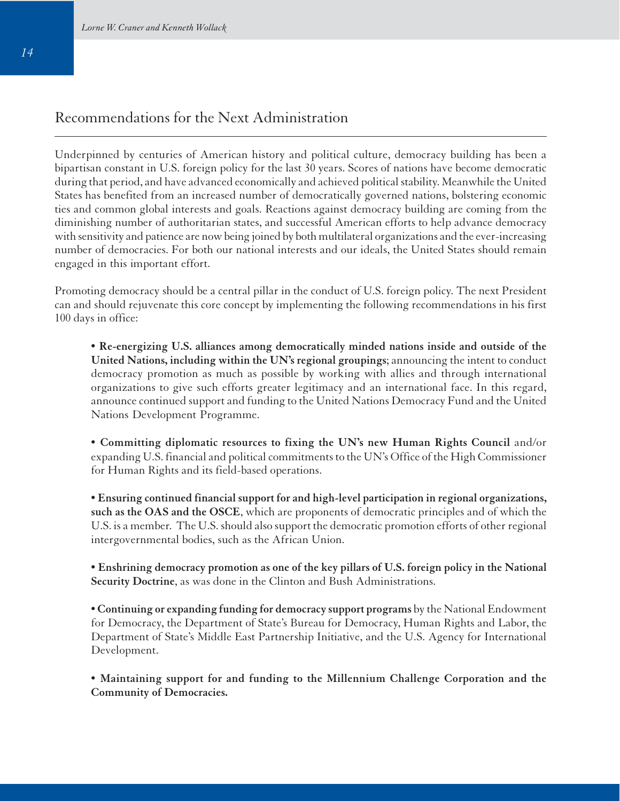#### Recommendations for the Next Administration

Underpinned by centuries of American history and political culture, democracy building has been a bipartisan constant in U.S. foreign policy for the last 30 years. Scores of nations have become democratic during that period, and have advanced economically and achieved political stability. Meanwhile the United States has benefited from an increased number of democratically governed nations, bolstering economic ties and common global interests and goals. Reactions against democracy building are coming from the diminishing number of authoritarian states, and successful American efforts to help advance democracy with sensitivity and patience are now being joined by both multilateral organizations and the ever-increasing number of democracies. For both our national interests and our ideals, the United States should remain engaged in this important effort.

Promoting democracy should be a central pillar in the conduct of U.S. foreign policy. The next President can and should rejuvenate this core concept by implementing the following recommendations in his first 100 days in office:

**• Re-energizing U.S. alliances among democratically minded nations inside and outside of the United Nations, including within the UN's regional groupings**; announcing the intent to conduct democracy promotion as much as possible by working with allies and through international organizations to give such efforts greater legitimacy and an international face. In this regard, announce continued support and funding to the United Nations Democracy Fund and the United Nations Development Programme.

**• Committing diplomatic resources to fixing the UN's new Human Rights Council** and/or expanding U.S. financial and political commitments to the UN's Office of the High Commissioner for Human Rights and its field-based operations.

**• Ensuring continued financial support for and high-level participation in regional organizations, such as the OAS and the OSCE**, which are proponents of democratic principles and of which the U.S. is a member. The U.S. should also support the democratic promotion efforts of other regional intergovernmental bodies, such as the African Union.

**• Enshrining democracy promotion as one of the key pillars of U.S. foreign policy in the National Security Doctrine**, as was done in the Clinton and Bush Administrations.

**• Continuing or expanding funding for democracy support programs** by the National Endowment for Democracy, the Department of State's Bureau for Democracy, Human Rights and Labor, the Department of State's Middle East Partnership Initiative, and the U.S. Agency for International Development.

**• Maintaining support for and funding to the Millennium Challenge Corporation and the Community of Democracies.**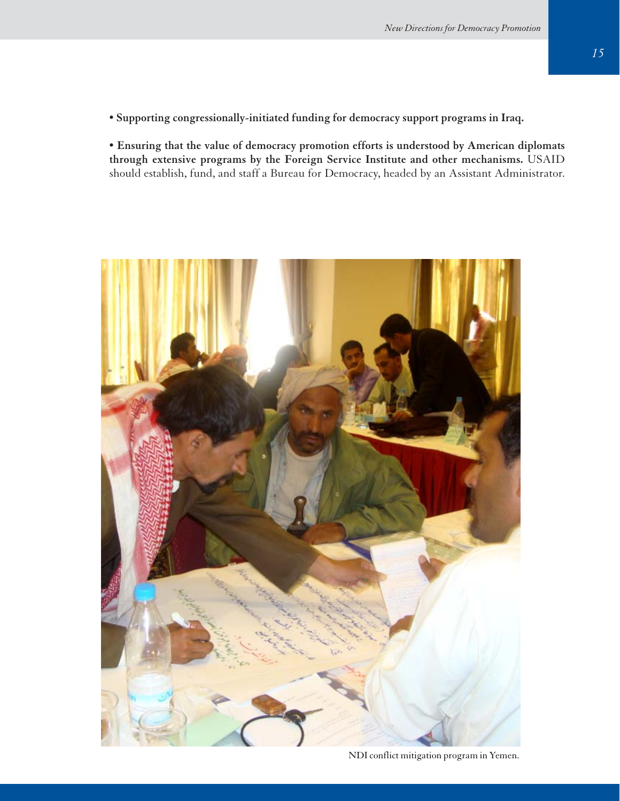**• Supporting congressionally-initiated funding for democracy support programs in Iraq.**

**• Ensuring that the value of democracy promotion efforts is understood by American diplomats through extensive programs by the Foreign Service Institute and other mechanisms.** USAID should establish, fund, and staff a Bureau for Democracy, headed by an Assistant Administrator.



NDI conflict mitigation program in Yemen.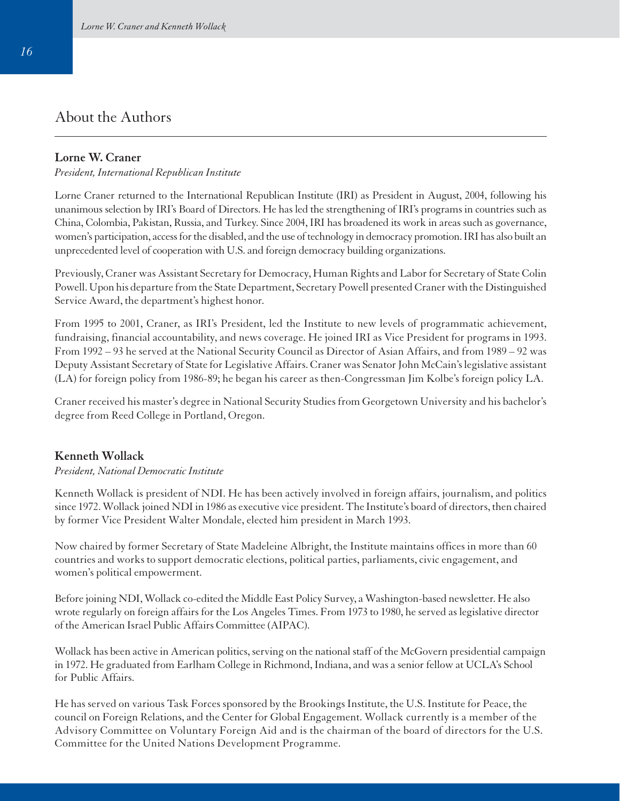### About the Authors

#### **Lorne W. Craner**

#### *President, International Republican Institute*

Lorne Craner returned to the International Republican Institute (IRI) as President in August, 2004, following his unanimous selection by IRI's Board of Directors. He has led the strengthening of IRI's programs in countries such as China, Colombia, Pakistan, Russia, and Turkey. Since 2004, IRI has broadened its work in areas such as governance, women's participation, access for the disabled, and the use of technology in democracy promotion. IRI has also built an unprecedented level of cooperation with U.S. and foreign democracy building organizations.

Previously, Craner was Assistant Secretary for Democracy, Human Rights and Labor for Secretary of State Colin Powell. Upon his departure from the State Department, Secretary Powell presented Craner with the Distinguished Service Award, the department's highest honor.

From 1995 to 2001, Craner, as IRI's President, led the Institute to new levels of programmatic achievement, fundraising, financial accountability, and news coverage. He joined IRI as Vice President for programs in 1993. From 1992 – 93 he served at the National Security Council as Director of Asian Affairs, and from 1989 – 92 was Deputy Assistant Secretary of State for Legislative Affairs. Craner was Senator John McCain's legislative assistant (LA) for foreign policy from 1986-89; he began his career as then-Congressman Jim Kolbe's foreign policy LA.

Craner received his master's degree in National Security Studies from Georgetown University and his bachelor's degree from Reed College in Portland, Oregon.

#### **Kenneth Wollack**

#### *President, National Democratic Institute*

Kenneth Wollack is president of NDI. He has been actively involved in foreign affairs, journalism, and politics since 1972. Wollack joined NDI in 1986 as executive vice president. The Institute's board of directors, then chaired by former Vice President Walter Mondale, elected him president in March 1993.

Now chaired by former Secretary of State Madeleine Albright, the Institute maintains offices in more than 60 countries and works to support democratic elections, political parties, parliaments, civic engagement, and women's political empowerment.

Before joining NDI, Wollack co-edited the Middle East Policy Survey, a Washington-based newsletter. He also wrote regularly on foreign affairs for the Los Angeles Times. From 1973 to 1980, he served as legislative director of the American Israel Public Affairs Committee (AIPAC).

Wollack has been active in American politics, serving on the national staff of the McGovern presidential campaign in 1972. He graduated from Earlham College in Richmond, Indiana, and was a senior fellow at UCLA's School for Public Affairs.

He has served on various Task Forces sponsored by the Brookings Institute, the U.S. Institute for Peace, the council on Foreign Relations, and the Center for Global Engagement. Wollack currently is a member of the Advisory Committee on Voluntary Foreign Aid and is the chairman of the board of directors for the U.S. Committee for the United Nations Development Programme.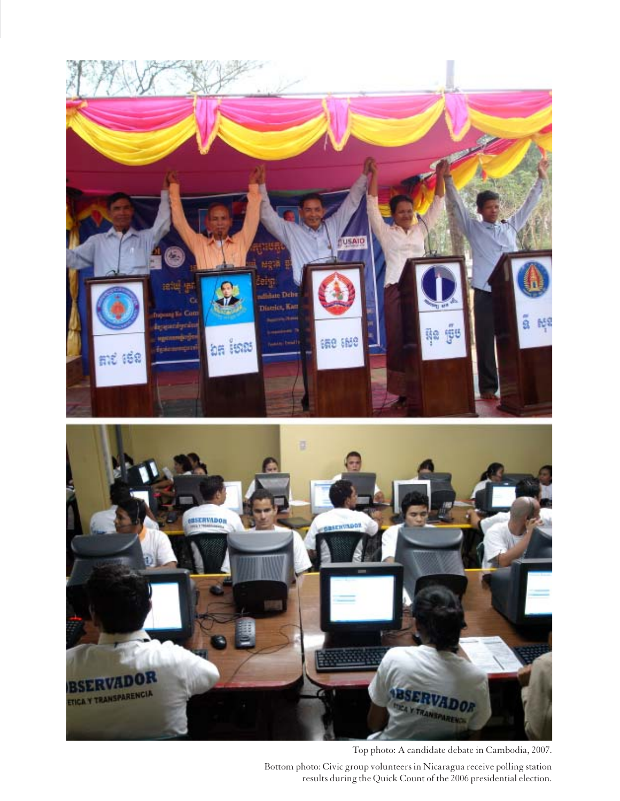

Top photo: A candidate debate in Cambodia, 2007.

Bottom photo: Civic group volunteers in Nicaragua receive polling station results during the Quick Count of the 2006 presidential election.